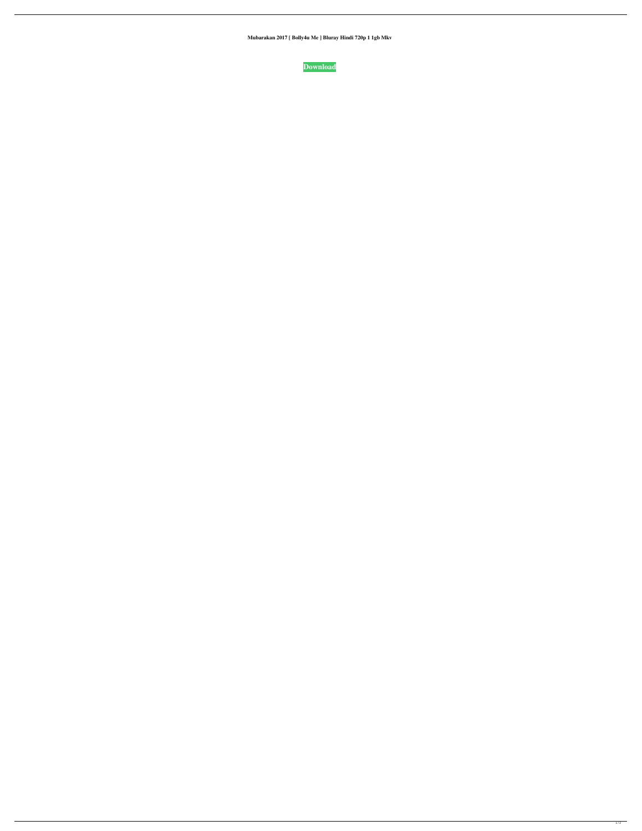**Mubarakan 2017 [ Bolly4u Me ] Bluray Hindi 720p 1 1gb Mkv**